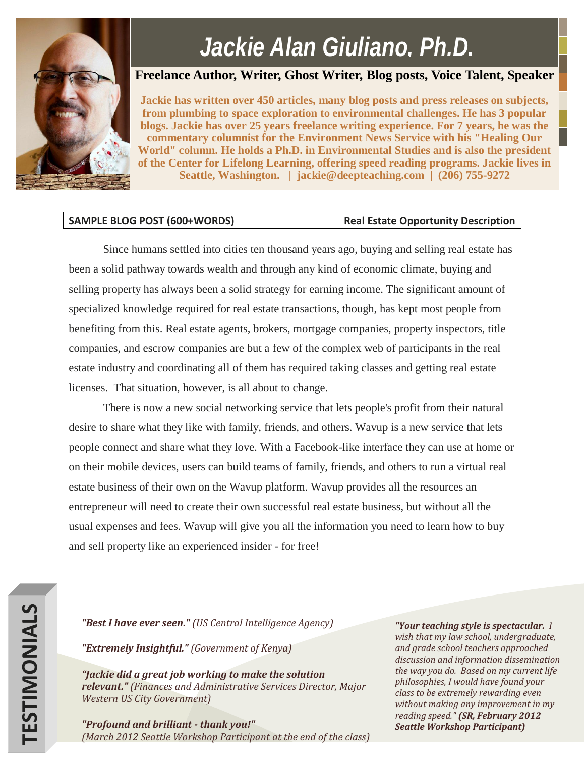# *Jackie Alan Giuliano, Ph.D.*

## **Freelance Author, Writer, Ghost Writer, Blog posts, Voice Talent, Speaker**

**Jackie has written over 450 articles, many blog posts and press releases on subjects, from plumbing to space exploration to environmental challenges. He has 3 popular blogs. Jackie has over 25 years freelance writing experience. For 7 years, he was the commentary columnist for the Environment News Service with his "Healing Our World" column. He holds a Ph.D. in Environmental Studies and is also the president of the Center for Lifelong Learning, offering speed reading programs. Jackie lives in Seattle, Washington. | jackie@deepteaching.com | (206) 755-9272**

### SAMPLE BLOG POST (600+WORDS) Real Estate Opportunity Description

Since humans settled into cities ten thousand years ago, buying and selling real estate has been a solid pathway towards wealth and through any kind of economic climate, buying and selling property has always been a solid strategy for earning income. The significant amount of specialized knowledge required for real estate transactions, though, has kept most people from benefiting from this. Real estate agents, brokers, mortgage companies, property inspectors, title companies, and escrow companies are but a few of the complex web of participants in the real estate industry and coordinating all of them has required taking classes and getting real estate licenses. That situation, however, is all about to change.

There is now a new social networking service that lets people's profit from their natural desire to share what they like with family, friends, and others. Wavup is a new service that lets people connect and share what they love. With a Facebook-like interface they can use at home or on their mobile devices, users can build teams of family, friends, and others to run a virtual real estate business of their own on the Wavup platform. Wavup provides all the resources an entrepreneur will need to create their own successful real estate business, but without all the usual expenses and fees. Wavup will give you all the information you need to learn how to buy and sell property like an experienced insider - for free!

*"Best I have ever seen." (US Central Intelligence Agency)*

*"Extremely Insightful." (Government of Kenya)*

*"Jackie did a great job working to make the solution relevant." (Finances and Administrative Services Director, Major Western US City Government)*

*"Profound and brilliant - thank you!" (March 2012 Seattle Workshop Participant at the end of the class)*

*"Your teaching style is spectacular. I wish that my law school, undergraduate, and grade school teachers approached discussion and information dissemination the way you do. Based on my current life philosophies, I would have found your class to be extremely rewarding even without making any improvement in my reading speed." (SR, February 2012 Seattle Workshop Participant)*